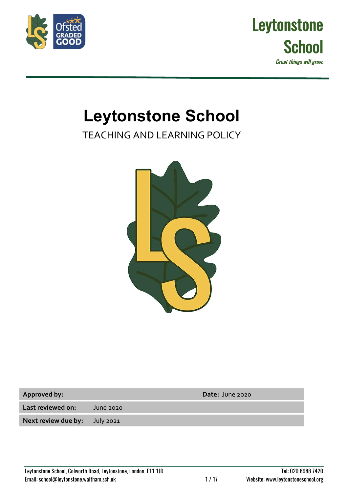



# **Leytonstone School**

TEACHING AND LEARNING POLICY



**Last reviewed on:** June 2020

**Next review due by:** July 2021

**Approved by: Date:** June 2020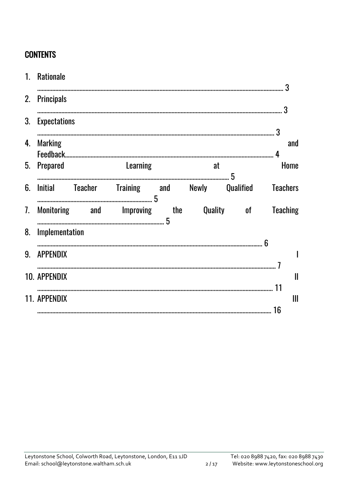# **CONTENTS**

| $1_{\cdot}$ | <b>Rationale</b>    |                                                       |    |  | 3                   |
|-------------|---------------------|-------------------------------------------------------|----|--|---------------------|
| 2.          | <b>Principals</b>   |                                                       |    |  |                     |
| 3.          | <b>Expectations</b> |                                                       |    |  |                     |
| 4.          | <b>Marking</b>      |                                                       |    |  | and                 |
| 5.          | Prepared            | Learning                                              | at |  | Home                |
| 6.          |                     | Initial Teacher Training and Newly Qualified Teachers |    |  |                     |
| 7.          |                     | Monitoring and Improving the Quality of               |    |  | <b>Teaching</b>     |
| 8.          | Implementation      |                                                       |    |  |                     |
| 9.          | <b>APPENDIX</b>     |                                                       |    |  |                     |
|             | <b>10. APPENDIX</b> |                                                       |    |  | $\mathbf l$         |
|             | 11. APPENDIX        |                                                       |    |  | 11<br>$\mathbf{  }$ |
|             |                     |                                                       |    |  | 16                  |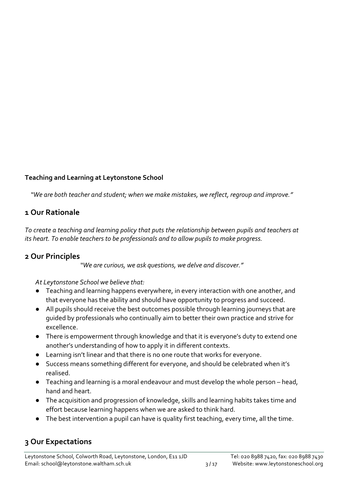# **Teaching and Learning at Leytonstone School**

*"We are both teacher and student; when we make mistakes, we reflect, regroup and improve."*

# **1 Our Rationale**

*To create a teaching and learning policy that puts the relationship between pupils and teachers at its heart. To enable teachers to be professionals and to allow pupils to make progress.*

# **2 Our Principles**

*"We are curious, we ask questions, we delve and discover."*

*At Leytonstone School we believe that:*

- Teaching and learning happens everywhere, in every interaction with one another, and that everyone has the ability and should have opportunity to progress and succeed.
- All pupils should receive the best outcomes possible through learning journeys that are guided by professionals who continually aim to better their own practice and strive for excellence.
- There is empowerment through knowledge and that it is everyone's duty to extend one another's understanding of how to apply it in different contexts.
- Learning isn't linear and that there is no one route that works for everyone.
- Success means something different for everyone, and should be celebrated when it's realised.
- Teaching and learning is a moral endeavour and must develop the whole person head, hand and heart.
- The acquisition and progression of knowledge, skills and learning habits takes time and effort because learning happens when we are asked to think hard.
- The best intervention a pupil can have is quality first teaching, every time, all the time.

# **3 Our Expectations**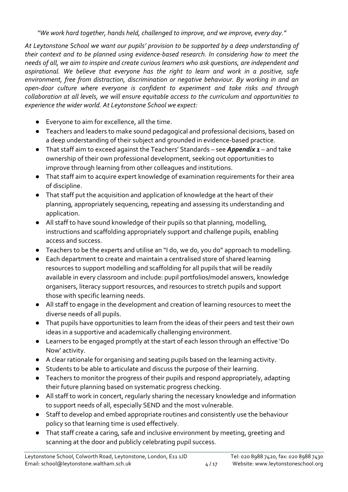*"We work hard together, hands held, challenged to improve, and we improve, every day."*

*At Leytonstone School we want our pupils' provision to be supported by a deep understanding of their context and to be planned using evidence-based research. In considering how to meet the needs of all, we aim to inspire and create curious learners who ask questions, are independent and aspirational. We believe that everyone has the right to learn and work in a positive, safe environment, free from distraction, discrimination or negative behaviour. By working in and an open-door culture where everyone is confident to experiment and take risks and through collaboration at all levels, we will ensure equitable access to the curriculum and opportunities to experience the wider world. At Leytonstone School we expect:*

- Everyone to aim for excellence, all the time.
- Teachers and leaders to make sound pedagogical and professional decisions, based on a deep understanding of their subject and grounded in evidence-based practice.
- That staff aim to exceed against the Teachers' Standards see *Appendix 1* and take ownership of their own professional development, seeking out opportunities to improve through learning from other colleagues and institutions.
- That staff aim to acquire expert knowledge of examination requirements for their area of discipline.
- That staff put the acquisition and application of knowledge at the heart of their planning, appropriately sequencing, repeating and assessing its understanding and application.
- All staff to have sound knowledge of their pupils so that planning, modelling, instructions and scaffolding appropriately support and challenge pupils, enabling access and success.
- Teachers to be the experts and utilise an "I do, we do, you do" approach to modelling.
- Each department to create and maintain a centralised store of shared learning resources to support modelling and scaffolding for all pupils that will be readily available in every classroom and include: pupil portfolios/model answers, knowledge organisers, literacy support resources, and resources to stretch pupils and support those with specific learning needs.
- All staff to engage in the development and creation of learning resources to meet the diverse needs of all pupils.
- That pupils have opportunities to learn from the ideas of their peers and test their own ideas in a supportive and academically challenging environment.
- Learners to be engaged promptly at the start of each lesson through an effective 'Do Now' activity.
- A clear rationale for organising and seating pupils based on the learning activity.
- Students to be able to articulate and discuss the purpose of their learning.
- Teachers to monitor the progress of their pupils and respond appropriately, adapting their future planning based on systematic progress checking.
- All staff to work in concert, regularly sharing the necessary knowledge and information to support needs of all, especially SEND and the most vulnerable.
- Staff to develop and embed appropriate routines and consistently use the behaviour policy so that learning time is used effectively.
- That staff create a caring, safe and inclusive environment by meeting, greeting and scanning at the door and publicly celebrating pupil success.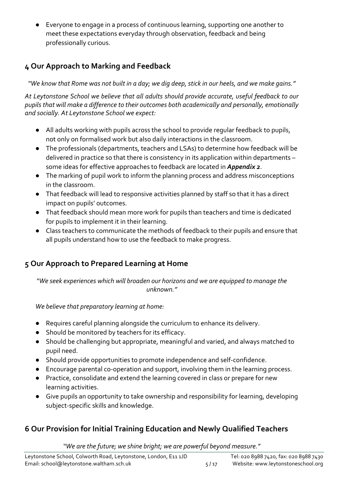Everyone to engage in a process of continuous learning, supporting one another to meet these expectations everyday through observation, feedback and being professionally curious.

# **4 Our Approach to Marking and Feedback**

*"We know that Rome was not built in a day; we dig deep, stick in our heels, and we make gains."*

*At Leytonstone School we believe that all adults should provide accurate, useful feedback to our pupils that will make a difference to their outcomes both academically and personally, emotionally and socially. At Leytonstone School we expect:*

- All adults working with pupils across the school to provide regular feedback to pupils, not only on formalised work but also daily interactions in the classroom.
- The professionals (departments, teachers and LSAs) to determine how feedback will be delivered in practice so that there is consistency in its application within departments – some ideas for effective approaches to feedback are located in *Appendix 2*.
- The marking of pupil work to inform the planning process and address misconceptions in the classroom.
- That feedback will lead to responsive activities planned by staff so that it has a direct impact on pupils' outcomes.
- That feedback should mean more work for pupils than teachers and time is dedicated for pupils to implement it in their learning.
- Class teachers to communicate the methods of feedback to their pupils and ensure that all pupils understand how to use the feedback to make progress.

# **5 Our Approach to Prepared Learning at Home**

*"We seek experiences which will broaden our horizons and we are equipped to manage the unknown."*

*We believe that preparatory learning at home:*

- Requires careful planning alongside the curriculum to enhance its delivery.
- Should be monitored by teachers for its efficacy.
- Should be challenging but appropriate, meaningful and varied, and always matched to pupil need.
- Should provide opportunities to promote independence and self-confidence.
- Encourage parental co-operation and support, involving them in the learning process.
- Practice, consolidate and extend the learning covered in class or prepare for new learning activities.
- Give pupils an opportunity to take ownership and responsibility for learning, developing subject-specific skills and knowledge.

# **6 Our Provision for Initial Training Education and Newly Qualified Teachers**

*"We are the future; we shine bright; we are powerful beyond measure."*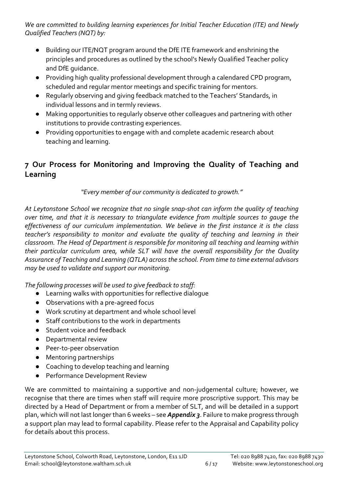*We are committed to building learning experiences for Initial Teacher Education (ITE) and Newly Qualified Teachers (NQT) by:*

- Building our ITE/NQT program around the DfE ITE framework and enshrining the principles and procedures as outlined by the school's Newly Qualified Teacher policy and DfE guidance.
- Providing high quality professional development through a calendared CPD program, scheduled and regular mentor meetings and specific training for mentors.
- Regularly observing and giving feedback matched to the Teachers' Standards, in individual lessons and in termly reviews.
- Making opportunities to regularly observe other colleagues and partnering with other institutions to provide contrasting experiences.
- Providing opportunities to engage with and complete academic research about teaching and learning.

# **7 Our Process for Monitoring and Improving the Quality of Teaching and Learning**

*"Every member of our community is dedicated to growth."*

*At Leytonstone School we recognize that no single snap-shot can inform the quality of teaching over time, and that it is necessary to triangulate evidence from multiple sources to gauge the effectiveness of our curriculum implementation. We believe in the first instance it is the class teacher's responsibility to monitor and evaluate the quality of teaching and learning in their classroom. The Head of Department is responsible for monitoring all teaching and learning within their particular curriculum area, while SLT will have the overall responsibility for the Quality Assurance of Teaching and Learning (QTLA) across the school. From time to time external advisors may be used to validate and support our monitoring.* 

*The following processes will be used to give feedback to staff:* 

- Learning walks with opportunities for reflective dialogue
- Observations with a pre-agreed focus
- Work scrutiny at department and whole school level
- Staff contributions to the work in departments
- Student voice and feedback
- Departmental review
- Peer-to-peer observation
- Mentoring partnerships
- Coaching to develop teaching and learning
- Performance Development Review

We are committed to maintaining a supportive and non-judgemental culture; however, we recognise that there are times when staff will require more proscriptive support. This may be directed by a Head of Department or from a member of SLT, and will be detailed in a support plan, which will not last longer than 6 weeks – see *Appendix 3*. Failure to make progress through a support plan may lead to formal capability. Please refer to the Appraisal and Capability policy for details about this process.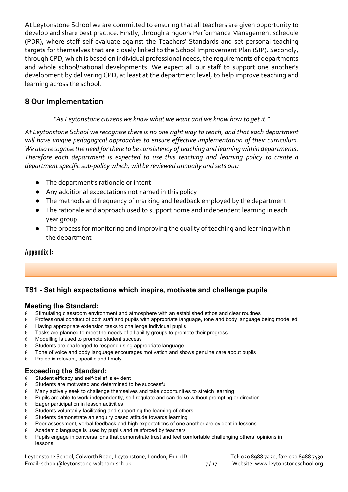At Leytonstone School we are committed to ensuring that all teachers are given opportunity to develop and share best practice. Firstly, through a rigours Performance Management schedule (PDR), where staff self-evaluate against the Teachers' Standards and set personal teaching targets for themselves that are closely linked to the School Improvement Plan (SIP). Secondly, through CPD, which is based on individual professional needs, the requirements of departments and whole school/national developments. We expect all our staff to support one another's development by delivering CPD, at least at the department level, to help improve teaching and learning across the school.

# **8 Our Implementation**

# *"As Leytonstone citizens we know what we want and we know how to get it."*

*At Leytonstone School we recognise there is no one right way to teach, and that each department will have unique pedagogical approaches to ensure effective implementation of their curriculum. We also recognise the need for there to be consistency of teaching and learning within departments. Therefore each department is expected to use this teaching and learning policy to create a department specific sub-policy which, will be reviewed annually and sets out:*

- The department's rationale or intent
- Any additional expectations not named in this policy
- The methods and frequency of marking and feedback employed by the department
- The rationale and approach used to support home and independent learning in each year group
- The process for monitoring and improving the quality of teaching and learning within the department

# Appendix I:

# **TS1** - **Set high expectations which inspire, motivate and challenge pupils**

# **Meeting the Standard:**

- $\epsilon$  Stimulating classroom environment and atmosphere with an established ethos and clear routines
- $\epsilon$  Professional conduct of both staff and pupils with appropriate language, tone and body language being modelled
- $\epsilon$  Having appropriate extension tasks to challenge individual pupils
- $\epsilon$  Tasks are planned to meet the needs of all ability groups to promote their progress
- $\epsilon$  Modelling is used to promote student success
- $\epsilon$  Students are challenged to respond using appropriate language
- $\epsilon$  Tone of voice and body language encourages motivation and shows genuine care about pupils
- $\epsilon$  Praise is relevant, specific and timely

# **Exceeding the Standard:**

- $\epsilon$  Student efficacy and self-belief is evident
- $\epsilon$  Students are motivated and determined to be successful
- $\epsilon$  Many actively seek to challenge themselves and take opportunities to stretch learning
- $\epsilon$  Pupils are able to work independently, self-regulate and can do so without prompting or direction
- $\epsilon$  Eager participation in lesson activities
- $\epsilon$  Students voluntarily facilitating and supporting the learning of others
- $\epsilon$  Students demonstrate an enquiry based attitude towards learning
- $\epsilon$  Peer assessment, verbal feedback and high expectations of one another are evident in lessons
- $\epsilon$  Academic language is used by pupils and reinforced by teachers
- € Pupils engage in conversations that demonstrate trust and feel comfortable challenging others' opinions in lessons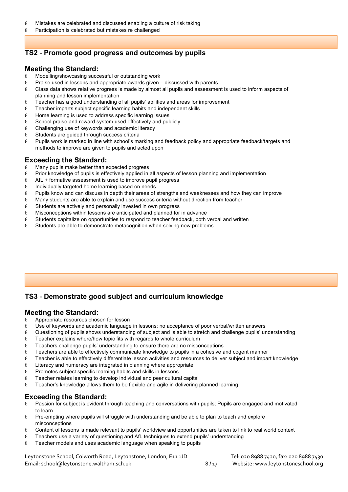- $\epsilon$  Mistakes are celebrated and discussed enabling a culture of risk taking
- $\epsilon$  Participation is celebrated but mistakes re challenged

# **TS2** - **Promote good progress and outcomes by pupils**

### **Meeting the Standard:**

- € Modelling/showcasing successful or outstanding work
- $\epsilon$  Praise used in lessons and appropriate awards given discussed with parents
- $\epsilon$  Class data shows relative progress is made by almost all pupils and assessment is used to inform aspects of planning and lesson implementation
- $\epsilon$  Teacher has a good understanding of all pupils' abilities and areas for improvement
- $\epsilon$  Teacher imparts subject specific learning habits and independent skills
- $\epsilon$  Home learning is used to address specific learning issues
- $\epsilon$  School praise and reward system used effectively and publicly
- $\epsilon$  Challenging use of keywords and academic literacy
- € Students are guided through success criteria
- $\epsilon$  Pupils work is marked in line with school's marking and feedback policy and appropriate feedback/targets and methods to improve are given to pupils and acted upon

# **Exceeding the Standard:**

- $\epsilon$  Many pupils make better than expected progress
- $\epsilon$  Prior knowledge of pupils is effectively applied in all aspects of lesson planning and implementation
- $\epsilon$  AfL + formative assessment is used to improve pupil progress
- $\epsilon$  Individually targeted home learning based on needs
- $\epsilon$  Pupils know and can discuss in depth their areas of strengths and weaknesses and how they can improve
- $\epsilon$  Many students are able to explain and use success criteria without direction from teacher
- $\epsilon$  Students are actively and personally invested in own progress
- $\epsilon$  Misconceptions within lessons are anticipated and planned for in advance
- $\epsilon$  Students capitalize on opportunities to respond to teacher feedback, both verbal and written
- $\epsilon$  Students are able to demonstrate metacognition when solving new problems

# **TS3** - **Demonstrate good subject and curriculum knowledge**

### **Meeting the Standard:**

- $\epsilon$  Appropriate resources chosen for lesson
- $\epsilon$  Use of keywords and academic language in lessons; no acceptance of poor verbal/written answers
- $\epsilon$  Questioning of pupils shows understanding of subject and is able to stretch and challenge pupils' understanding
- $\epsilon$  Teacher explains where/how topic fits with regards to whole curriculum
- $\epsilon$  Teachers challenge pupils' understanding to ensure there are no misconceptions
- $\epsilon$  Teachers are able to effectively communicate knowledge to pupils in a cohesive and cogent manner
- $\epsilon$  Teacher is able to effectively differentiate lesson activities and resources to deliver subject and impart knowledge
- $\epsilon$  Literacy and numeracy are integrated in planning where appropriate
- € Promotes subject specific learning habits and skills in lessons
- $\epsilon$  Teacher relates learning to develop individual and peer cultural capital
- $\epsilon$  Teacher's knowledge allows them to be flexible and agile in delivering planned learning

### **Exceeding the Standard:**

- $\epsilon$  Passion for subject is evident through teaching and conversations with pupils; Pupils are engaged and motivated to learn
- $\epsilon$  Pre-empting where pupils will struggle with understanding and be able to plan to teach and explore misconceptions
- $\epsilon$  Content of lessons is made relevant to pupils' worldview and opportunities are taken to link to real world context
- $\epsilon$  Teachers use a variety of questioning and AfL techniques to extend pupils' understanding
- $\epsilon$  Teacher models and uses academic language when speaking to pupils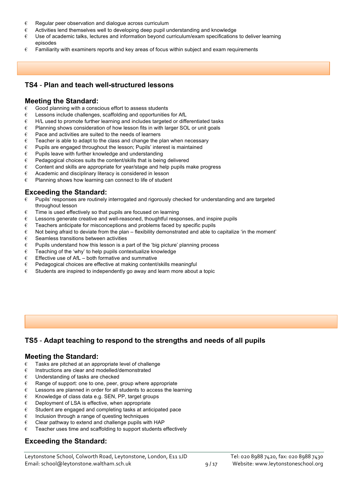- $\epsilon$  Regular peer observation and dialogue across curriculum
- $\epsilon$  Activities lend themselves well to developing deep pupil understanding and knowledge
- € Use of academic talks, lectures and information beyond curriculum/exam specifications to deliver learning episodes
- $\epsilon$  Familiarity with examiners reports and key areas of focus within subject and exam requirements

#### **TS4** - **Plan and teach well-structured lessons**

#### **Meeting the Standard:**

- $\epsilon$  Good planning with a conscious effort to assess students
- $\epsilon$  Lessons include challenges, scaffolding and opportunities for AfL
- $\epsilon$  H/L used to promote further learning and includes targeted or differentiated tasks
- $\epsilon$  Planning shows consideration of how lesson fits in with larger SOL or unit goals
- $\epsilon$  Pace and activities are suited to the needs of learners
- $\epsilon$  Teacher is able to adapt to the class and change the plan when necessary
- $\epsilon$  Pupils are engaged throughout the lesson; Pupils' interest is maintained
- $\epsilon$  Pupils leave with further knowledge and understanding
- $\epsilon$  Pedagogical choices suits the content/skills that is being delivered
- $\epsilon$  Content and skills are appropriate for year/stage and help pupils make progress
- € Academic and disciplinary literacy is considered in lesson
- $\epsilon$  Planning shows how learning can connect to life of student

#### **Exceeding the Standard:**

- $\epsilon$  Pupils' responses are routinely interrogated and rigorously checked for understanding and are targeted throughout lesson
- $\epsilon$  Time is used effectively so that pupils are focused on learning
- $\epsilon$  Lessons generate creative and well-reasoned, thoughtful responses, and inspire pupils
- $\epsilon$  Teachers anticipate for misconceptions and problems faced by specific pupils
- $\epsilon$  Not being afraid to deviate from the plan flexibility demonstrated and able to capitalize 'in the moment'
- $\epsilon$  Seamless transitions between activities
- $\epsilon$  Pupils understand how this lesson is a part of the 'big picture' planning process
- $\epsilon$  Teaching of the 'why' to help pupils contextualize knowledge
- $\epsilon$  Effective use of AfL both formative and summative
- € Pedagogical choices are effective at making content/skills meaningful
- $\epsilon$  Students are inspired to independently go away and learn more about a topic

# **TS5** - **Adapt teaching to respond to the strengths and needs of all pupils**

#### **Meeting the Standard:**

- $\epsilon$  Tasks are pitched at an appropriate level of challenge
- € Instructions are clear and modelled/demonstrated
- € Understanding of tasks are checked
- $\epsilon$  Range of support: one to one, peer, group where appropriate
- $\epsilon$  Lessons are planned in order for all students to access the learning
- $\epsilon$  Knowledge of class data e.g. SEN, PP, target groups
- $\epsilon$  Deployment of LSA is effective, when appropriate
- $\epsilon$  Student are engaged and completing tasks at anticipated pace
- $\epsilon$  Inclusion through a range of questing techniques
- $\epsilon$  Clear pathway to extend and challenge pupils with HAP
- $\epsilon$  Teacher uses time and scaffolding to support students effectively

# **Exceeding the Standard:**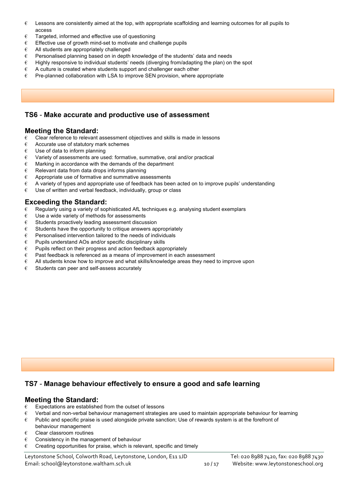- $\epsilon$  Lessons are consistently aimed at the top, with appropriate scaffolding and learning outcomes for all pupils to access
- € Targeted, informed and effective use of questioning
- $\epsilon$  Fffective use of growth mind-set to motivate and challenge pupils
- € All students are appropriately challenged
- € Personalised planning based on in depth knowledge of the students' data and needs
- € Highly responsive to individual students' needs (diverging from/adapting the plan) on the spot
- $\epsilon$  A culture is created where students support and challenger each other
- $\epsilon$  Pre-planned collaboration with LSA to improve SEN provision, where appropriate

### **TS6** - **Make accurate and productive use of assessment**

### **Meeting the Standard:**

- € Clear reference to relevant assessment objectives and skills is made in lessons
- $\epsilon$  Accurate use of statutory mark schemes
- $\epsilon$  Use of data to inform planning
- $\epsilon$  Variety of assessments are used: formative, summative, oral and/or practical
- $\epsilon$  Marking in accordance with the demands of the department
- $\epsilon$  Relevant data from data drops informs planning
- $\epsilon$  Appropriate use of formative and summative assessments
- $\epsilon$  A variety of types and appropriate use of feedback has been acted on to improve pupils' understanding
- $\epsilon$  Use of written and verbal feedback, individually, group or class

### **Exceeding the Standard:**

- $\epsilon$  Regularly using a variety of sophisticated AfL techniques e.g. analysing student exemplars
- $\epsilon$  Use a wide variety of methods for assessments
- $\epsilon$  Students proactively leading assessment discussion
- $\epsilon$  Students have the opportunity to critique answers appropriately
- $\epsilon$  Personalised intervention tailored to the needs of individuals
- $\epsilon$  Pupils understand AOs and/or specific disciplinary skills
- $\epsilon$  Pupils reflect on their progress and action feedback appropriately
- $\epsilon$  Past feedback is referenced as a means of improvement in each assessment
- $\epsilon$  All students know how to improve and what skills/knowledge areas they need to improve upon
- $\epsilon$  Students can peer and self-assess accurately

# **TS7** - **Manage behaviour effectively to ensure a good and safe learning**

#### **Meeting the Standard:**

- $\epsilon$  Expectations are established from the outset of lessons
- € Verbal and non-verbal behaviour management strategies are used to maintain appropriate behaviour for learning
- € Public and specific praise is used alongside private sanction; Use of rewards system is at the forefront of behaviour management
- € Clear classroom routines
- $\epsilon$  Consistency in the management of behaviour
- $\epsilon$  Creating opportunities for praise, which is relevant, specific and timely

Leytonstone School, Colworth Road, Leytonstone, London, E11 1JD Tel: 020 8988 7420, fax: 020 8988 7430 Email: school@leytonstone.waltham.sch.uk 10 / 17 Website: www.leytonstoneschool.org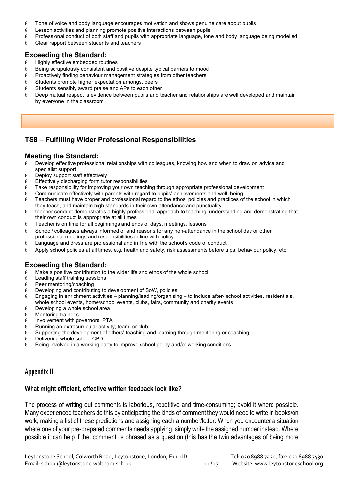- $\epsilon$  Tone of voice and body language encourages motivation and shows genuine care about pupils
- $\epsilon$  Lesson activities and planning promote positive interactions between pupils
- $\epsilon$  Professional conduct of both staff and pupils with appropriate language, tone and body language being modelled
- $\epsilon$  Clear rapport between students and teachers

### **Exceeding the Standard:**

- € Highly effective embedded routines
- $\epsilon$  Being scrupulously consistent and positive despite typical barriers to mood
- $\epsilon$  Proactively finding behaviour management strategies from other teachers
- $\epsilon$  Students promote higher expectation amongst peers
- $\epsilon$  Students sensibly award praise and APs to each other
- $\epsilon$  Deep mutual respect is evidence between pupils and teacher and relationships are well developed and maintain by everyone in the classroom

# **TS8** – **Fulfilling Wider Professional Responsibilities**

#### **Meeting the Standard:**

- $\epsilon$  Develop effective professional relationships with colleagues, knowing how and when to draw on advice and specialist support
- $\epsilon$  Deploy support staff effectively
- $\epsilon$  Effectively discharging form tutor responsibilities
- $\epsilon$  Take responsibility for improving your own teaching through appropriate professional development
- $\epsilon$  Communicate effectively with parents with regard to pupils' achievements and well- being
- $\epsilon$  Teachers must have proper and professional regard to the ethos, policies and practices of the school in which they teach, and maintain high standards in their own attendance and punctuality
- $\epsilon$  teacher conduct demonstrates a highly professional approach to teaching, understanding and demonstrating that their own conduct is appropriate at all times
- $\epsilon$  Teacher is on time for all beginnings and ends of days, meetings, lessons
- $\epsilon$  School/ colleagues always informed of and reasons for any non-attendance in the school day or other professional meetings and responsibilities in line with policy
- $\epsilon$  Language and dress are professional and in line with the school's code of conduct
- $\epsilon$  Apply school policies at all times, e.g. health and safety, risk assessments before trips; behaviour policy, etc.

# **Exceeding the Standard:**

- $\epsilon$  Make a positive contribution to the wider life and ethos of the whole school
- $\epsilon$  Leading staff training sessions
- $\epsilon$  Peer mentoring/coaching
- $\epsilon$  Developing and contributing to development of SoW, policies
- $\epsilon$  Engaging in enrichment activities planning/leading/organising to include after- school activities, residentials, whole school events, home/school events, clubs, fairs, community and charity events
- $\epsilon$  Developing a whole school area
- $\epsilon$  Mentoring trainees
- $\varepsilon$  Involvement with governors; PTA
- $\epsilon$  Running an extracurricular activity, team, or club
- $\epsilon$  Supporting the development of others' teaching and learning through mentoring or coaching
- $\epsilon$  Delivering whole school CPD
- $\epsilon$  Being involved in a working party to improve school policy and/or working conditions

### Appendix II:

### **What might efficient, effective written feedback look like?**

The process of writing out comments is laborious, repetitive and time-consuming; avoid it where possible. Many experienced teachers do this by anticipating the kinds of comment they would need to write in books/on work, making a list of these predictions and assigning each a number/letter. When you encounter a situation where one of your pre-prepared comments needs applying, simply write the assigned number instead. Where possible it can help if the 'comment' is phrased as a question (this has the twin advantages of being more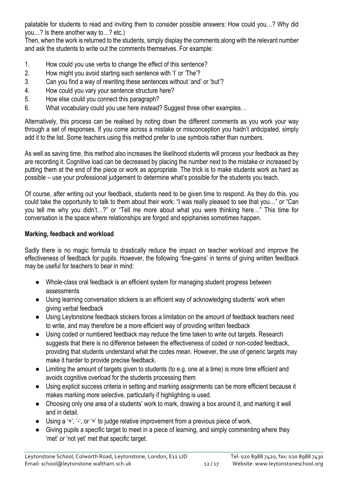palatable for students to read and inviting them to consider possible answers: How could you…? Why did you…? Is there another way to…? etc.)

Then, when the work is returned to the students, simply display the comments along with the relevant number and ask the students to write out the comments themselves. For example:

- 1. How could you use verbs to change the effect of this sentence?
- 2. How might you avoid starting each sentence with 'I' or 'The'?
- 3. Can you find a way of rewriting these sentences without 'and' or 'but'?
- 4. How could you vary your sentence structure here?
- 5. How else could you connect this paragraph?
- 6. What vocabulary could you use here instead? Suggest three other examples…

Alternatively, this process can be realised by noting down the different comments as you work your way through a set of responses. If you come across a mistake or misconception you hadn't anticipated, simply add it to the list. Some teachers using this method prefer to use symbols rather than numbers.

As well as saving time, this method also increases the likelihood students will process your feedback as they are recording it. Cognitive load can be decreased by placing the number next to the mistake or increased by putting them at the end of the piece or work as appropriate. The trick is to make students work as hard as possible – use your professional judgement to determine what's possible for the students you teach.

Of course, after writing out your feedback, students need to be given time to respond. As they do this, you could take the opportunity to talk to them about their work: "I was really pleased to see that you…" or "Can you tell me why you didn't…?" or "Tell me more about what you were thinking here…" This time for conversation is the space where relationships are forged and epiphanies sometimes happen.

# **Marking, feedback and workload**

Sadly there is no magic formula to drastically reduce the impact on teacher workload and improve the effectiveness of feedback for pupils. However, the following 'fine-gains' in terms of giving written feedback may be useful for teachers to bear in mind:

- Whole-class oral feedback is an efficient system for managing student progress between assessments
- Using learning conversation stickers is an efficient way of acknowledging students' work when giving verbal feedback
- Using Leytonstone feedback stickers forces a limitation on the amount of feedback teachers need to write, and may therefore be a more efficient way of providing written feedback
- Using coded or numbered feedback may reduce the time taken to write out targets. Research suggests that there is no difference between the effectiveness of coded or non-coded feedback. providing that students understand what the codes mean. However, the use of generic targets may make it harder to provide precise feedback.
- Limiting the amount of targets given to students (to e.g. one at a time) is more time efficient and avoids cognitive overload for the students processing them
- Using explicit success criteria in setting and marking assignments can be more efficient because it makes marking more selective, particularly if highlighting is used.
- Choosing only one area of a students' work to mark, drawing a box around it, and marking it well and in detail.
- Using a '+', '-', or '=' to judge relative improvement from a previous piece of work.
- Giving pupils a specific target to meet in a piece of learning, and simply commenting where they 'met' or 'not yet' met that specific target.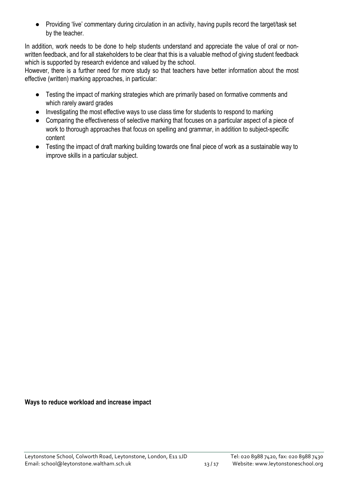● Providing 'live' commentary during circulation in an activity, having pupils record the target/task set by the teacher.

In addition, work needs to be done to help students understand and appreciate the value of oral or nonwritten feedback, and for all stakeholders to be clear that this is a valuable method of giving student feedback which is supported by research evidence and valued by the school.

However, there is a further need for more study so that teachers have better information about the most effective (written) marking approaches, in particular:

- Testing the impact of marking strategies which are primarily based on formative comments and which rarely award grades
- Investigating the most effective ways to use class time for students to respond to marking
- Comparing the effectiveness of selective marking that focuses on a particular aspect of a piece of work to thorough approaches that focus on spelling and grammar, in addition to subject-specific content
- Testing the impact of draft marking building towards one final piece of work as a sustainable way to improve skills in a particular subject.

**Ways to reduce workload and increase impact**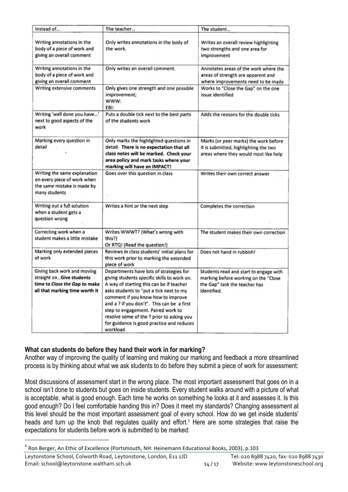| Instead of                                                                                                                   | The teacher                                                                                                                                                                                                                                                                                                                                                                                                    | The student                                                                                                                    |  |
|------------------------------------------------------------------------------------------------------------------------------|----------------------------------------------------------------------------------------------------------------------------------------------------------------------------------------------------------------------------------------------------------------------------------------------------------------------------------------------------------------------------------------------------------------|--------------------------------------------------------------------------------------------------------------------------------|--|
| Writing annotations in the<br>body of a piece of work and<br>giving an overall comment                                       | Only writes annotations in the body of<br>the work.                                                                                                                                                                                                                                                                                                                                                            | Writes an overall review highlighting<br>two strengths and one area for<br>improvement                                         |  |
| Writing annotations in the<br>body of a piece of work and<br>giving an overall comment                                       | Only writes an overall comment.                                                                                                                                                                                                                                                                                                                                                                                | Annotates areas of the work where the<br>areas of strength are apparent and<br>where improvements need to be made              |  |
| Writing extensive comments                                                                                                   | Only gives one strength and one possible<br>improvement;<br>WWW:<br>EBI:                                                                                                                                                                                                                                                                                                                                       | Works to "Close the Gap" on the one<br>issue identified                                                                        |  |
| Writing 'well done you have'<br>next to good aspects of the<br>work                                                          | Puts a double tick next to the best parts<br>of the students work                                                                                                                                                                                                                                                                                                                                              | Adds the reasons for the double ticks                                                                                          |  |
| Marking every question in<br>detail                                                                                          | Only marks the highlighted questions in<br>detail. There is no expectation that all<br>class notes will be marked. Check your<br>area policy and mark tasks where your<br>marking will have an IMPACT!                                                                                                                                                                                                         | Marks (or peer marks) the work before<br>it is submitted, highlighting the two<br>areas where they would most like help        |  |
| Writing the same explanation<br>on every piece of work when<br>the same mistake is made by<br>many students                  | Goes over this question in class                                                                                                                                                                                                                                                                                                                                                                               | Writes their own correct answer                                                                                                |  |
| Writing out a full solution<br>when a student gets a<br>question wrong                                                       | Writes a hint or the next step                                                                                                                                                                                                                                                                                                                                                                                 | Completes the correction                                                                                                       |  |
| Correcting work when a<br>student makes a little mistake                                                                     | Writes WWWT? (What's wrong with<br>this?)<br>Or RTQ! (Read the question!)                                                                                                                                                                                                                                                                                                                                      | The student makes their own correction                                                                                         |  |
| Marking only extended pieces<br>of work                                                                                      | Reviews in class students' initial plans for<br>this work prior to marking the extended<br>piece of work                                                                                                                                                                                                                                                                                                       | Does not hand in rubbish!                                                                                                      |  |
| Giving back work and moving<br>straight onGive students -<br>time to Close the Gap to make<br>all that marking time worth it | Departments have lots of strategies for<br>giving students specific skills to work on.<br>A way of starting this can be if teacher<br>asks students to "put a tick next to my<br>comment if you know how to improve<br>and a ? if you don't". This can be a first<br>step to engagement. Paired work to<br>resolve some of the ? prior to asking you<br>for guidance is good practice and reduces<br>workload. | Students read and start to engage with<br>marking before working on the "Close<br>the Gap" task the teacher has<br>identified. |  |

# **What can students do before they hand their work in for marking?**

Another way of improving the quality of learning and making our marking and feedback a more streamlined process is by thinking about what we ask students to do before they submit a piece of work for assessment:

Most discussions of assessment start in the wrong place. The most important assessment that goes on in a school isn't done to students but goes on inside students. Every student walks around with a picture of what is acceptable, what is good enough. Each time he works on something he looks at it and assesses it. Is this good enough? Do I feel comfortable handing this in? Does it meet my standards? Changing assessment at this level should be the most important assessment goal of every school. How do we get inside students' heads and turn up the knob that regulates quality and effort.<sup>1</sup> Here are some strategies that raise the expectations for students before work is submitted to be marked:

 $1$  Ron Berger, An Ethic of Excellence (Portsmouth, NH: Heinemann Educational Books, 2003), p.103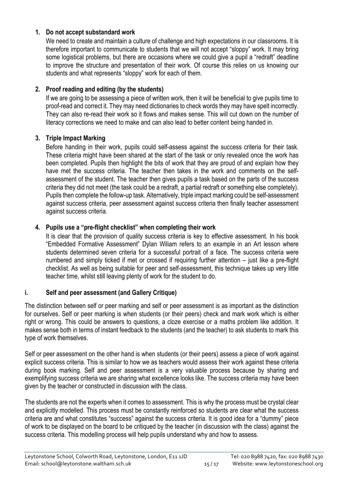### **1. Do not accept substandard work**

We need to create and maintain a culture of challenge and high expectations in our classrooms. It is therefore important to communicate to students that we will not accept "sloppy" work. It may bring some logistical problems, but there are occasions where we could give a pupil a "redraft" deadline to improve the structure and presentation of their work. Of course this relies on us knowing our students and what represents "sloppy" work for each of them.

# **2. Proof reading and editing (by the students)**

If we are going to be assessing a piece of written work, then it will be beneficial to give pupils time to proof-read and correct it. They may need dictionaries to check words they may have spelt incorrectly. They can also re-read their work so it flows and makes sense. This will cut down on the number of literacy corrections we need to make and can also lead to better content being handed in.

# **3. Triple Impact Marking**

Before handing in their work, pupils could self-assess against the success criteria for their task. These criteria might have been shared at the start of the task or only revealed once the work has been completed. Pupils then highlight the bits of work that they are proud of and explain how they have met the success criteria. The teacher then takes in the work and comments on the selfassessment of the student. The teacher then gives pupils a task based on the parts of the success criteria they did not meet (the task could be a redraft, a partial redraft or something else completely). Pupils then complete the follow-up task. Alternatively, triple impact marking could be self-assessment against success criteria, peer assessment against success criteria then finally teacher assessment against success criteria.

# **4. Pupils use a "pre-flight checklist" when completing their work**

It is clear that the provision of quality success criteria is key to effective assessment. In his book "Embedded Formative Assessment" Dylan Wiliam refers to an example in an Art lesson where students determined seven criteria for a successful portrait of a face. The success criteria were numbered and simply ticked if met or crossed if requiring further attention – just like a pre-flight checklist. As well as being suitable for peer and self-assessment, this technique takes up very little teacher time, whilst still leaving plenty of work for the student to do.

# **i. Self and peer assessment (and Gallery Critique)**

The distinction between self or peer marking and self or peer assessment is as important as the distinction for ourselves. Self or peer marking is when students (or their peers) check and mark work which is either right or wrong. This could be answers to questions, a cloze exercise or a maths problem like addition. It makes sense both in terms of instant feedback to the students (and the teacher) to ask students to mark this type of work themselves.

Self or peer assessment on the other hand is when students (or their peers) assess a piece of work against explicit success criteria. This is similar to how we as teachers would assess their work against these criteria during book marking. Self and peer assessment is a very valuable process because by sharing and exemplifying success criteria we are sharing what excellence looks like. The success criteria may have been given by the teacher or constructed in discussion with the class.

The students are not the experts when it comes to assessment. This is why the process must be crystal clear and explicitly modelled. This process must be constantly reinforced so students are clear what the success criteria are and what constitutes "success" against the success criteria. It is good idea for a "dummy" piece of work to be displayed on the board to be critiqued by the teacher (in discussion with the class) against the success criteria. This modelling process will help pupils understand why and how to assess.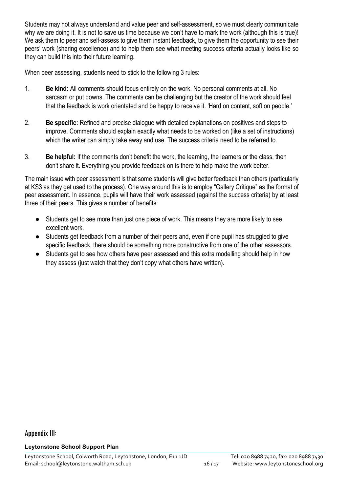Students may not always understand and value peer and self-assessment, so we must clearly communicate why we are doing it. It is not to save us time because we don't have to mark the work (although this is true)! We ask them to peer and self-assess to give them instant feedback, to give them the opportunity to see their peers' work (sharing excellence) and to help them see what meeting success criteria actually looks like so they can build this into their future learning.

When peer assessing, students need to stick to the following 3 rules:

- 1. **Be kind:** All comments should focus entirely on the work. No personal comments at all. No sarcasm or put downs. The comments can be challenging but the creator of the work should feel that the feedback is work orientated and be happy to receive it. 'Hard on content, soft on people.'
- 2. **Be specific:** Refined and precise dialogue with detailed explanations on positives and steps to improve. Comments should explain exactly what needs to be worked on (like a set of instructions) which the writer can simply take away and use. The success criteria need to be referred to.
- 3. **Be helpful:** If the comments don't benefit the work, the learning, the learners or the class, then don't share it. Everything you provide feedback on is there to help make the work better.

The main issue with peer assessment is that some students will give better feedback than others (particularly at KS3 as they get used to the process). One way around this is to employ "Gallery Critique" as the format of peer assessment. In essence, pupils will have their work assessed (against the success criteria) by at least three of their peers. This gives a number of benefits:

- Students get to see more than just one piece of work. This means they are more likely to see excellent work.
- Students get feedback from a number of their peers and, even if one pupil has struggled to give specific feedback, there should be something more constructive from one of the other assessors.
- Students get to see how others have peer assessed and this extra modelling should help in how they assess (just watch that they don't copy what others have written).

# Appendix III:

**Leytonstone School Support Plan**